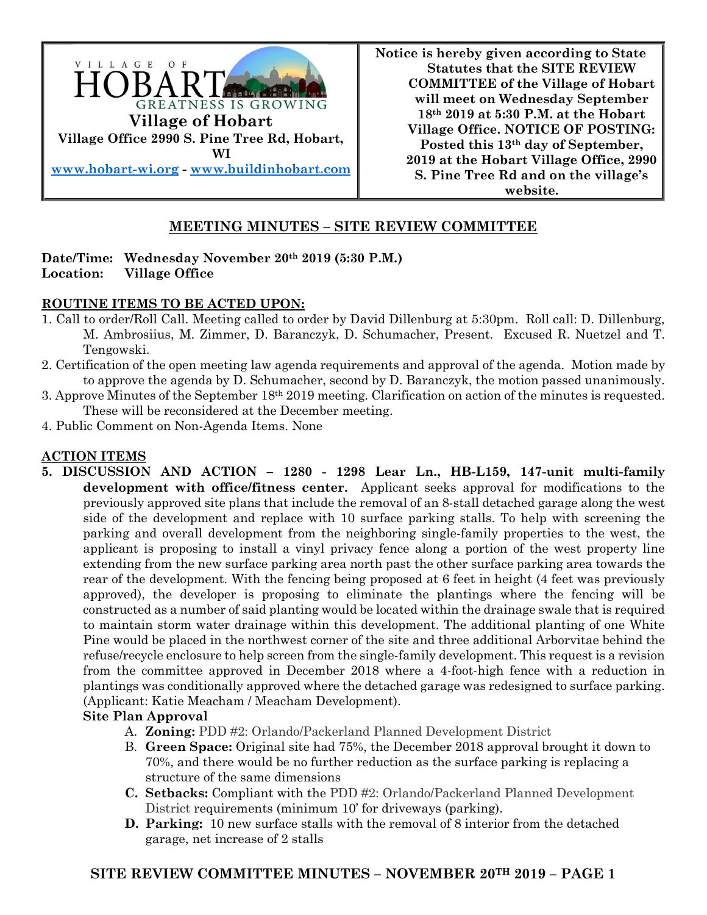

**Notice is hereby given according to State Statutes that the SITE REVIEW COMMITTEE of the Village of Hobart will meet on Wednesday September 18th 2019 at 5:30 P.M. at the Hobart Village Office. NOTICE OF POSTING: Posted this 13th day of September, 2019 at the Hobart Village Office, 2990 S. Pine Tree Rd and on the village's website.**

# **MEETING MINUTES – SITE REVIEW COMMITTEE**

### **Date/Time: Wednesday November 20th 2019 (5:30 P.M.) Location: Village Office**

#### **ROUTINE ITEMS TO BE ACTED UPON:**

- 1. Call to order/Roll Call. Meeting called to order by David Dillenburg at 5:30pm. Roll call: D. Dillenburg, M. Ambrosiius, M. Zimmer, D. Baranczyk, D. Schumacher, Present. Excused R. Nuetzel and T. Tengowski.
- 2. Certification of the open meeting law agenda requirements and approval of the agenda. Motion made by to approve the agenda by D. Schumacher, second by D. Baranczyk, the motion passed unanimously.
- 3. Approve Minutes of the September  $18<sup>th</sup> 2019$  meeting. Clarification on action of the minutes is requested. These will be reconsidered at the December meeting.
- 4. Public Comment on Non-Agenda Items. None

# **ACTION ITEMS**

**5. DISCUSSION AND ACTION – 1280 - 1298 Lear Ln., HB-L159, 147-unit multi-family development with office/fitness center.** Applicant seeks approval for modifications to the previously approved site plans that include the removal of an 8-stall detached garage along the west side of the development and replace with 10 surface parking stalls. To help with screening the parking and overall development from the neighboring single-family properties to the west, the applicant is proposing to install a vinyl privacy fence along a portion of the west property line extending from the new surface parking area north past the other surface parking area towards the rear of the development. With the fencing being proposed at 6 feet in height (4 feet was previously approved), the developer is proposing to eliminate the plantings where the fencing will be constructed as a number of said planting would be located within the drainage swale that is required to maintain storm water drainage within this development. The additional planting of one White Pine would be placed in the northwest corner of the site and three additional Arborvitae behind the refuse/recycle enclosure to help screen from the single-family development. This request is a revision from the committee approved in December 2018 where a 4-foot-high fence with a reduction in plantings was conditionally approved where the detached garage was redesigned to surface parking. (Applicant: Katie Meacham / Meacham Development).

#### **Site Plan Approval**

- A. **Zoning:** PDD #2: Orlando/Packerland Planned Development District
- B. **Green Space:** Original site had 75%, the December 2018 approval brought it down to 70%, and there would be no further reduction as the surface parking is replacing a structure of the same dimensions
- **C. Setbacks:** Compliant with the PDD #2: Orlando/Packerland Planned Development District requirements (minimum 10' for driveways (parking).
- **D. Parking:** 10 new surface stalls with the removal of 8 interior from the detached garage, net increase of 2 stalls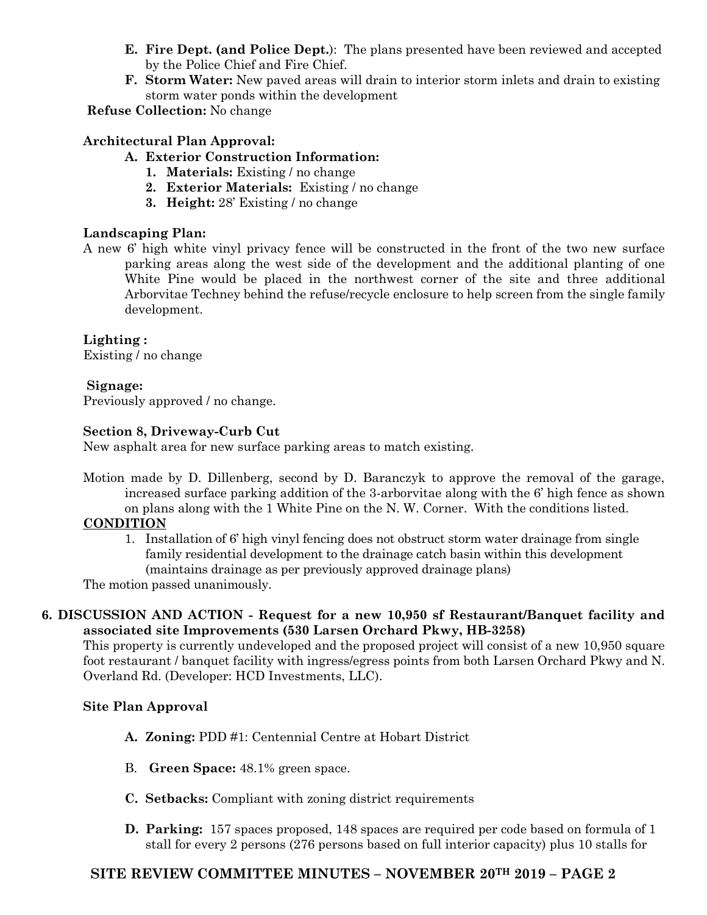- **E. Fire Dept. (and Police Dept.**): The plans presented have been reviewed and accepted by the Police Chief and Fire Chief.
- **F. Storm Water:** New paved areas will drain to interior storm inlets and drain to existing storm water ponds within the development

**Refuse Collection:** No change

# **Architectural Plan Approval:**

- **A. Exterior Construction Information:**
	- **1. Materials:** Existing / no change
	- **2. Exterior Materials:** Existing / no change
	- **3. Height:** 28' Existing / no change

# **Landscaping Plan:**

A new 6' high white vinyl privacy fence will be constructed in the front of the two new surface parking areas along the west side of the development and the additional planting of one White Pine would be placed in the northwest corner of the site and three additional Arborvitae Techney behind the refuse/recycle enclosure to help screen from the single family development.

**Lighting :** Existing / no change

# **Signage:**

Previously approved / no change.

#### **Section 8, Driveway-Curb Cut**

New asphalt area for new surface parking areas to match existing.

Motion made by D. Dillenberg, second by D. Baranczyk to approve the removal of the garage, increased surface parking addition of the 3-arborvitae along with the 6' high fence as shown on plans along with the 1 White Pine on the N. W. Corner. With the conditions listed.

#### **CONDITION**

1. Installation of 6' high vinyl fencing does not obstruct storm water drainage from single family residential development to the drainage catch basin within this development (maintains drainage as per previously approved drainage plans)

The motion passed unanimously.

# **6. DISCUSSION AND ACTION - Request for a new 10,950 sf Restaurant/Banquet facility and associated site Improvements (530 Larsen Orchard Pkwy, HB-3258)**

This property is currently undeveloped and the proposed project will consist of a new 10,950 square foot restaurant / banquet facility with ingress/egress points from both Larsen Orchard Pkwy and N. Overland Rd. (Developer: HCD Investments, LLC).

#### **Site Plan Approval**

- **A. Zoning:** PDD #1: Centennial Centre at Hobart District
- B. **Green Space:** 48.1% green space.
- **C. Setbacks:** Compliant with zoning district requirements
- **D. Parking:** 157 spaces proposed, 148 spaces are required per code based on formula of 1 stall for every 2 persons (276 persons based on full interior capacity) plus 10 stalls for

# **SITE REVIEW COMMITTEE MINUTES – NOVEMBER 20TH 2019 – PAGE 2**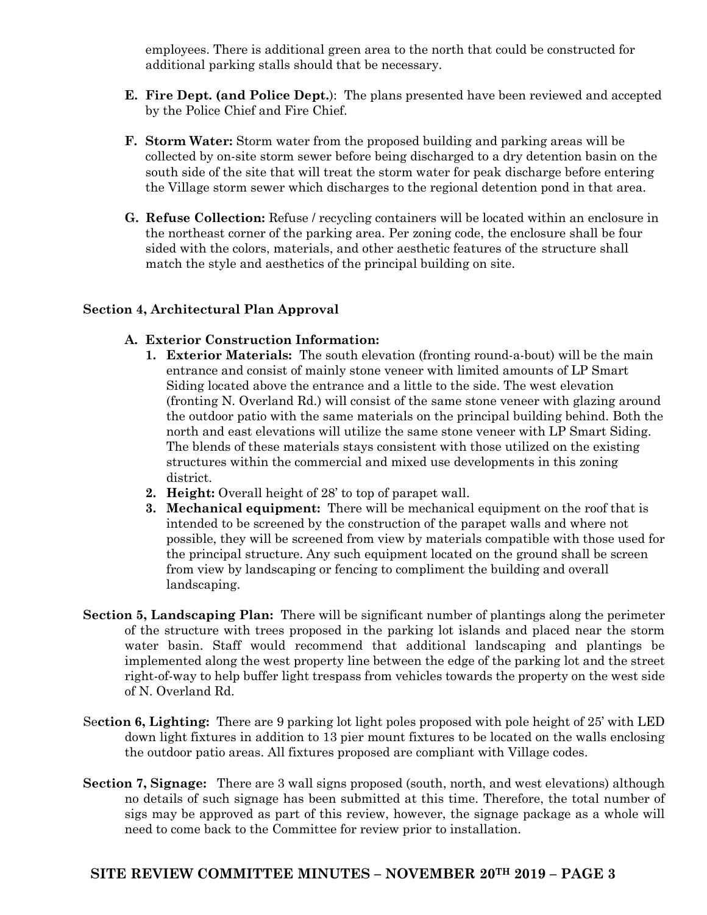employees. There is additional green area to the north that could be constructed for additional parking stalls should that be necessary.

- **E. Fire Dept. (and Police Dept.**): The plans presented have been reviewed and accepted by the Police Chief and Fire Chief.
- **F. Storm Water:** Storm water from the proposed building and parking areas will be collected by on-site storm sewer before being discharged to a dry detention basin on the south side of the site that will treat the storm water for peak discharge before entering the Village storm sewer which discharges to the regional detention pond in that area.
- **G. Refuse Collection:** Refuse / recycling containers will be located within an enclosure in the northeast corner of the parking area. Per zoning code, the enclosure shall be four sided with the colors, materials, and other aesthetic features of the structure shall match the style and aesthetics of the principal building on site.

# **Section 4, Architectural Plan Approval**

# **A. Exterior Construction Information:**

- **1. Exterior Materials:** The south elevation (fronting round-a-bout) will be the main entrance and consist of mainly stone veneer with limited amounts of LP Smart Siding located above the entrance and a little to the side. The west elevation (fronting N. Overland Rd.) will consist of the same stone veneer with glazing around the outdoor patio with the same materials on the principal building behind. Both the north and east elevations will utilize the same stone veneer with LP Smart Siding. The blends of these materials stays consistent with those utilized on the existing structures within the commercial and mixed use developments in this zoning district.
- **2. Height:** Overall height of 28' to top of parapet wall.
- **3. Mechanical equipment:** There will be mechanical equipment on the roof that is intended to be screened by the construction of the parapet walls and where not possible, they will be screened from view by materials compatible with those used for the principal structure. Any such equipment located on the ground shall be screen from view by landscaping or fencing to compliment the building and overall landscaping.
- **Section 5, Landscaping Plan:** There will be significant number of plantings along the perimeter of the structure with trees proposed in the parking lot islands and placed near the storm water basin. Staff would recommend that additional landscaping and plantings be implemented along the west property line between the edge of the parking lot and the street right-of-way to help buffer light trespass from vehicles towards the property on the west side of N. Overland Rd.
- Se**ction 6, Lighting:** There are 9 parking lot light poles proposed with pole height of 25' with LED down light fixtures in addition to 13 pier mount fixtures to be located on the walls enclosing the outdoor patio areas. All fixtures proposed are compliant with Village codes.
- **Section 7, Signage:** There are 3 wall signs proposed (south, north, and west elevations) although no details of such signage has been submitted at this time. Therefore, the total number of sigs may be approved as part of this review, however, the signage package as a whole will need to come back to the Committee for review prior to installation.